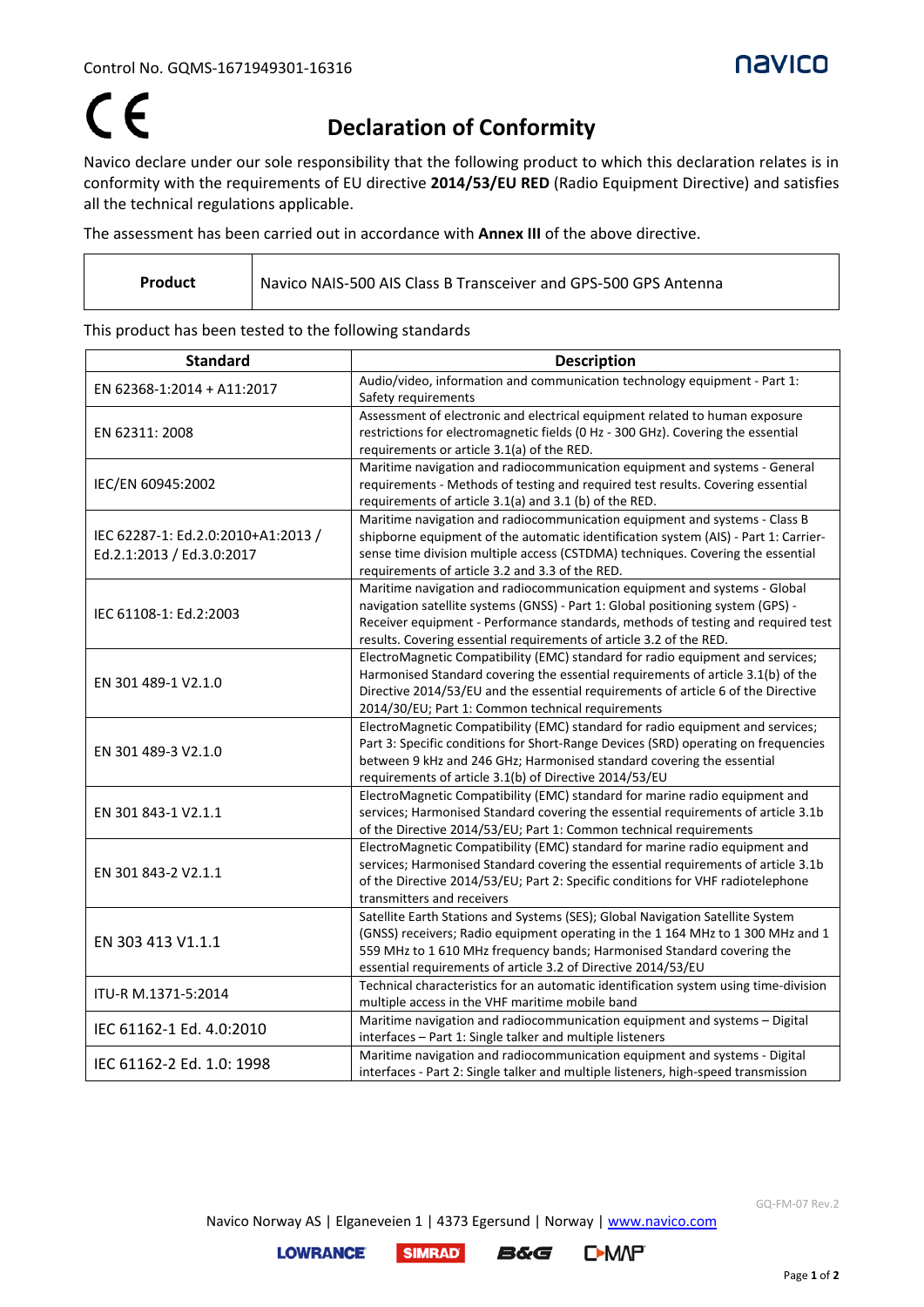

## $\epsilon$

## **Declaration of Conformity**

Navico declare under our sole responsibility that the following product to which this declaration relates is in conformity with the requirements of EU directive **2014/53/EU RED** (Radio Equipment Directive) and satisfies all the technical regulations applicable.

The assessment has been carried out in accordance with **Annex III** of the above directive.

| Product | Navico NAIS-500 AIS Class B Transceiver and GPS-500 GPS Antenna |
|---------|-----------------------------------------------------------------|
|         |                                                                 |

This product has been tested to the following standards

| <b>Standard</b>                                                 | <b>Description</b>                                                                                                                                                                                                                                                                                                      |
|-----------------------------------------------------------------|-------------------------------------------------------------------------------------------------------------------------------------------------------------------------------------------------------------------------------------------------------------------------------------------------------------------------|
| EN 62368-1:2014 + A11:2017                                      | Audio/video, information and communication technology equipment - Part 1:<br>Safety requirements                                                                                                                                                                                                                        |
| EN 62311: 2008                                                  | Assessment of electronic and electrical equipment related to human exposure<br>restrictions for electromagnetic fields (0 Hz - 300 GHz). Covering the essential<br>requirements or article 3.1(a) of the RED.                                                                                                           |
| IEC/EN 60945:2002                                               | Maritime navigation and radiocommunication equipment and systems - General<br>requirements - Methods of testing and required test results. Covering essential<br>requirements of article 3.1(a) and 3.1 (b) of the RED.                                                                                                 |
| IEC 62287-1: Ed.2.0:2010+A1:2013 /<br>Ed.2.1:2013 / Ed.3.0:2017 | Maritime navigation and radiocommunication equipment and systems - Class B<br>shipborne equipment of the automatic identification system (AIS) - Part 1: Carrier-<br>sense time division multiple access (CSTDMA) techniques. Covering the essential<br>requirements of article 3.2 and 3.3 of the RED.                 |
| IEC 61108-1: Ed.2:2003                                          | Maritime navigation and radiocommunication equipment and systems - Global<br>navigation satellite systems (GNSS) - Part 1: Global positioning system (GPS) -<br>Receiver equipment - Performance standards, methods of testing and required test<br>results. Covering essential requirements of article 3.2 of the RED. |
| EN 301 489-1 V2.1.0                                             | ElectroMagnetic Compatibility (EMC) standard for radio equipment and services;<br>Harmonised Standard covering the essential requirements of article 3.1(b) of the<br>Directive 2014/53/EU and the essential requirements of article 6 of the Directive<br>2014/30/EU; Part 1: Common technical requirements            |
| EN 301 489-3 V2.1.0                                             | ElectroMagnetic Compatibility (EMC) standard for radio equipment and services;<br>Part 3: Specific conditions for Short-Range Devices (SRD) operating on frequencies<br>between 9 kHz and 246 GHz; Harmonised standard covering the essential<br>requirements of article 3.1(b) of Directive 2014/53/EU                 |
| EN 301 843-1 V2.1.1                                             | ElectroMagnetic Compatibility (EMC) standard for marine radio equipment and<br>services; Harmonised Standard covering the essential requirements of article 3.1b<br>of the Directive 2014/53/EU; Part 1: Common technical requirements                                                                                  |
| EN 301 843-2 V2.1.1                                             | ElectroMagnetic Compatibility (EMC) standard for marine radio equipment and<br>services; Harmonised Standard covering the essential requirements of article 3.1b<br>of the Directive 2014/53/EU; Part 2: Specific conditions for VHF radiotelephone<br>transmitters and receivers                                       |
| EN 303 413 V1.1.1                                               | Satellite Earth Stations and Systems (SES); Global Navigation Satellite System<br>(GNSS) receivers; Radio equipment operating in the 1 164 MHz to 1 300 MHz and 1<br>559 MHz to 1 610 MHz frequency bands; Harmonised Standard covering the<br>essential requirements of article 3.2 of Directive 2014/53/EU            |
| ITU-R M.1371-5:2014                                             | Technical characteristics for an automatic identification system using time-division<br>multiple access in the VHF maritime mobile band                                                                                                                                                                                 |
| IEC 61162-1 Ed. 4.0:2010                                        | Maritime navigation and radiocommunication equipment and systems - Digital<br>interfaces - Part 1: Single talker and multiple listeners                                                                                                                                                                                 |
| IEC 61162-2 Ed. 1.0: 1998                                       | Maritime navigation and radiocommunication equipment and systems - Digital<br>interfaces - Part 2: Single talker and multiple listeners, high-speed transmission                                                                                                                                                        |

Navico Norway AS | Elganeveien 1 | 4373 Egersund | Norway [| www.navico.com](http://www.navico.com/)

**SIMRAD** 

**LOWRANCE**